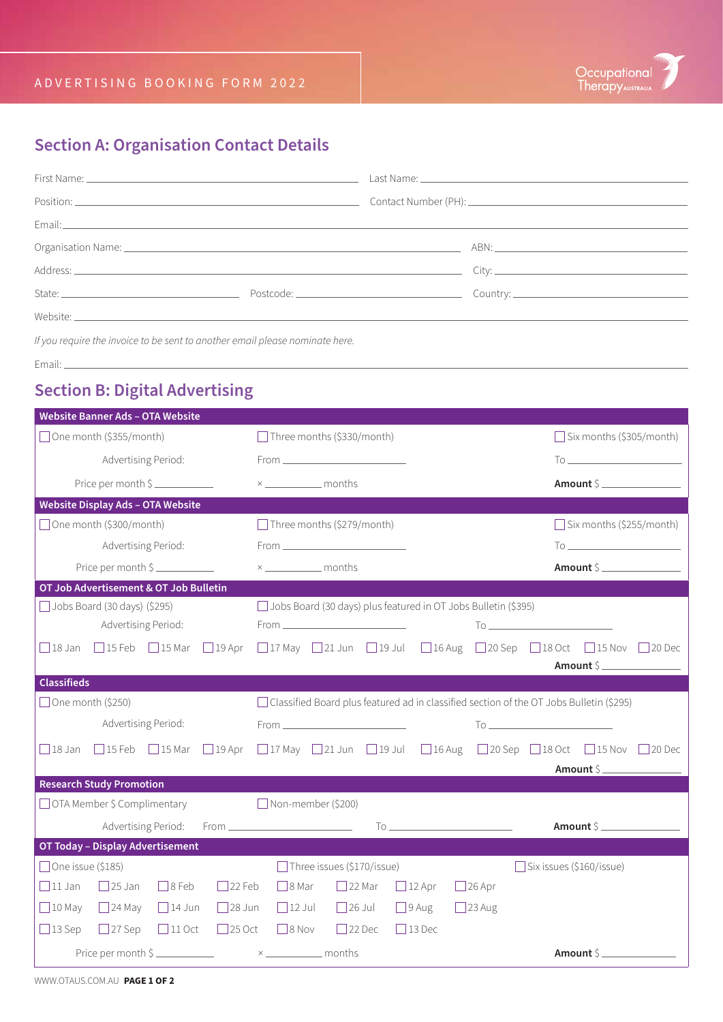## **Section A: Organisation Contact Details**

| If you require the invoice to be sent to another email please nominate here. |  |  |  |  |  |
|------------------------------------------------------------------------------|--|--|--|--|--|

Email:

#### **Section B: Digital Advertising**

| <b>Website Banner Ads - OTA Website</b>                                        |                                                                                                                                                                                                                                                                                                                                                     |                                 |  |  |  |
|--------------------------------------------------------------------------------|-----------------------------------------------------------------------------------------------------------------------------------------------------------------------------------------------------------------------------------------------------------------------------------------------------------------------------------------------------|---------------------------------|--|--|--|
| □ One month (\$355/month)                                                      | Three months (\$330/month)                                                                                                                                                                                                                                                                                                                          | $\Box$ Six months (\$305/month) |  |  |  |
| Advertising Period:                                                            |                                                                                                                                                                                                                                                                                                                                                     |                                 |  |  |  |
| Price per month \$                                                             |                                                                                                                                                                                                                                                                                                                                                     | Amount \$                       |  |  |  |
| <b>Website Display Ads - OTA Website</b>                                       |                                                                                                                                                                                                                                                                                                                                                     |                                 |  |  |  |
| $\Box$ One month (\$300/month)                                                 | $\Box$ Three months (\$279/month)                                                                                                                                                                                                                                                                                                                   | $\Box$ Six months (\$255/month) |  |  |  |
| Advertising Period:                                                            |                                                                                                                                                                                                                                                                                                                                                     |                                 |  |  |  |
| Price per month \$                                                             |                                                                                                                                                                                                                                                                                                                                                     | Amount \$                       |  |  |  |
| OT Job Advertisement & OT Job Bulletin                                         |                                                                                                                                                                                                                                                                                                                                                     |                                 |  |  |  |
| $\Box$ Jobs Board (30 days) (\$295)                                            | Jobs Board (30 days) plus featured in OT Jobs Bulletin (\$395)                                                                                                                                                                                                                                                                                      |                                 |  |  |  |
| Advertising Period:                                                            |                                                                                                                                                                                                                                                                                                                                                     |                                 |  |  |  |
|                                                                                | □18 Jan □15 Feb □15 Mar □19 Apr □17 May □21 Jun □19 Jul □16 Aug □20 Sep □18 Oct □15 Nov                                                                                                                                                                                                                                                             | $\Box$ 20 Dec                   |  |  |  |
|                                                                                |                                                                                                                                                                                                                                                                                                                                                     | Amount \$                       |  |  |  |
| <b>Classifieds</b>                                                             |                                                                                                                                                                                                                                                                                                                                                     |                                 |  |  |  |
| $\Box$ One month (\$250)                                                       | □ Classified Board plus featured ad in classified section of the OT Jobs Bulletin (\$295)                                                                                                                                                                                                                                                           |                                 |  |  |  |
| Advertising Period:                                                            | $\begin{picture}(150,10) \put(0,0){\line(1,0){10}} \put(15,0){\line(1,0){10}} \put(15,0){\line(1,0){10}} \put(15,0){\line(1,0){10}} \put(15,0){\line(1,0){10}} \put(15,0){\line(1,0){10}} \put(15,0){\line(1,0){10}} \put(15,0){\line(1,0){10}} \put(15,0){\line(1,0){10}} \put(15,0){\line(1,0){10}} \put(15,0){\line(1,0){10}} \put(15,0){\line($ |                                 |  |  |  |
| $\Box$ 18 Jan<br>$\Box$ 15 Feb $\Box$ 15 Mar                                   | $\Box$ 19 Apr $\Box$ 17 May $\Box$ 21 Jun $\Box$ 19 Jul $\Box$ 16 Aug $\Box$ 20 Sep $\Box$ 18 Oct $\Box$ 15 Nov $\Box$ 20 Dec                                                                                                                                                                                                                       |                                 |  |  |  |
|                                                                                |                                                                                                                                                                                                                                                                                                                                                     | Amount \$                       |  |  |  |
| <b>Research Study Promotion</b>                                                |                                                                                                                                                                                                                                                                                                                                                     |                                 |  |  |  |
| $\Box$ OTA Member \$ Complimentary                                             | Non-member (\$200)                                                                                                                                                                                                                                                                                                                                  |                                 |  |  |  |
| Advertising Period:                                                            |                                                                                                                                                                                                                                                                                                                                                     | Amount \$                       |  |  |  |
| OT Today - Display Advertisement                                               |                                                                                                                                                                                                                                                                                                                                                     |                                 |  |  |  |
| $\Box$ One issue (\$185)                                                       | $\Box$ Three issues (\$170/issue)                                                                                                                                                                                                                                                                                                                   | Six issues (\$160/issue)        |  |  |  |
| $\Box$ 11 Jan<br>$\Box$ 25 Jan<br>$\Box$ 8 Feb<br>$\Box$ 22 Feb                | $\Box$ 8 Mar<br>$22$ Mar<br>$\Box$ 12 Apr<br>$\Box$ 26 Apr                                                                                                                                                                                                                                                                                          |                                 |  |  |  |
| $\Box$ 10 May<br>$\Box$ 24 May<br>$\Box$ 14 Jun                                | $28$ Jun 12 Jul 26 Jul<br>$\Box$ 9 Aug<br>$\Box$ 23 Aug                                                                                                                                                                                                                                                                                             |                                 |  |  |  |
| $\Box$ 13 Sep $\Box$ 27 Sep<br>$\Box$ 11 Oct<br>$25$ Oct                       | $\Box$ 8 Nov<br>$\Box$ 22 Dec<br>$\Box$ 13 Dec                                                                                                                                                                                                                                                                                                      |                                 |  |  |  |
| Price per month $\frac{1}{2}$ $\frac{1}{2}$ $\frac{1}{2}$ $\frac{1}{2}$ months |                                                                                                                                                                                                                                                                                                                                                     | Amount \$                       |  |  |  |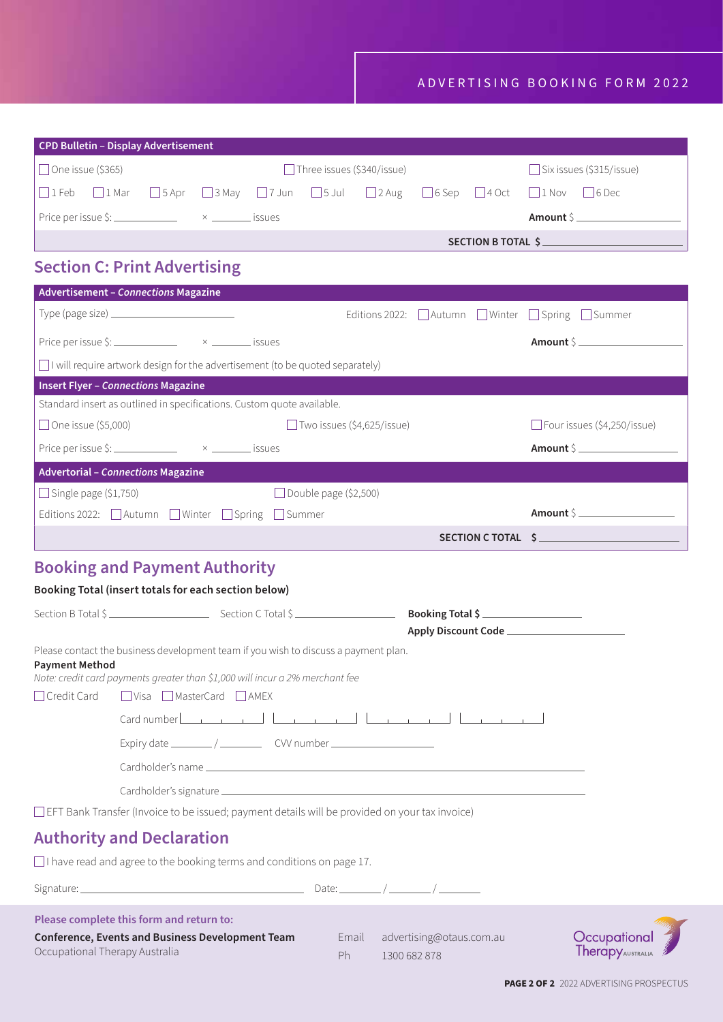| <b>CPD Bulletin - Display Advertisement</b> |                                                                 |  |  |  |                                   |  |  |                                                                                                                                                |
|---------------------------------------------|-----------------------------------------------------------------|--|--|--|-----------------------------------|--|--|------------------------------------------------------------------------------------------------------------------------------------------------|
| $\Box$ One issue (\$365)                    |                                                                 |  |  |  | $\Box$ Three issues (\$340/issue) |  |  | Six issues (\$315/issue)                                                                                                                       |
|                                             |                                                                 |  |  |  |                                   |  |  | $\Box$ I Feb $\Box$ 1 Mar $\Box$ 5 Apr $\Box$ 3 May $\Box$ 7 Jun $\Box$ 5 Jul $\Box$ 2 Aug $\Box$ 6 Sep $\Box$ 4 Oct $\Box$ 1 Nov $\Box$ 6 Dec |
|                                             | Price per issue \$: $\frac{3}{2}$ $\times$ $\frac{3}{2}$ issues |  |  |  |                                   |  |  | Amount S                                                                                                                                       |
|                                             |                                                                 |  |  |  | SECTION B TOTAL \$                |  |  |                                                                                                                                                |

### **Section C: Print Advertising**

| <b>Advertisement - Connections Magazine</b>                                                                                                                                                                                                                                                                       |                                                    |                                    |  |  |  |  |
|-------------------------------------------------------------------------------------------------------------------------------------------------------------------------------------------------------------------------------------------------------------------------------------------------------------------|----------------------------------------------------|------------------------------------|--|--|--|--|
| Type (page size) $\frac{1}{2}$ $\frac{1}{2}$ $\frac{1}{2}$ $\frac{1}{2}$ $\frac{1}{2}$ $\frac{1}{2}$ $\frac{1}{2}$ $\frac{1}{2}$ $\frac{1}{2}$ $\frac{1}{2}$ $\frac{1}{2}$ $\frac{1}{2}$ $\frac{1}{2}$ $\frac{1}{2}$ $\frac{1}{2}$ $\frac{1}{2}$ $\frac{1}{2}$ $\frac{1}{2}$ $\frac{1}{2}$ $\frac{1}{2}$ $\frac{$ | Editions 2022: △ Autumn △ Winter △ Spring △ Summer |                                    |  |  |  |  |
| Price per issue \$: $\frac{3}{2}$ $\times$ $\frac{3}{2}$ issues                                                                                                                                                                                                                                                   |                                                    | Amount S                           |  |  |  |  |
| $\Box$ I will require artwork design for the advertisement (to be quoted separately)                                                                                                                                                                                                                              |                                                    |                                    |  |  |  |  |
| <b>Insert Flyer - Connections Magazine</b>                                                                                                                                                                                                                                                                        |                                                    |                                    |  |  |  |  |
| Standard insert as outlined in specifications. Custom quote available.                                                                                                                                                                                                                                            |                                                    |                                    |  |  |  |  |
| □ One issue (\$5,000)                                                                                                                                                                                                                                                                                             | $\Box$ Two issues (\$4,625/issue)                  | $\Box$ Four issues (\$4,250/issue) |  |  |  |  |
| Price per issue \$: $\frac{3!}{2!}$ $\times$ $\frac{3!}{2!}$ issues                                                                                                                                                                                                                                               |                                                    | Amount \$                          |  |  |  |  |
| <b>Advertorial - Connections Magazine</b>                                                                                                                                                                                                                                                                         |                                                    |                                    |  |  |  |  |
| $\Box$ Single page (\$1,750)                                                                                                                                                                                                                                                                                      | Double page $(52,500)$                             |                                    |  |  |  |  |
| Editions 2022: △ Autumn △ Winter △ Spring △ Summer                                                                                                                                                                                                                                                                |                                                    | Amount S                           |  |  |  |  |
|                                                                                                                                                                                                                                                                                                                   | SECTION C TOTAL \$                                 |                                    |  |  |  |  |

### **Booking and Payment Authority**

#### **Booking Total (insert totals for each section below)**

|                       | Section B Total \$                                                                                                                                                                                                                                                   |                                              |             |
|-----------------------|----------------------------------------------------------------------------------------------------------------------------------------------------------------------------------------------------------------------------------------------------------------------|----------------------------------------------|-------------|
|                       |                                                                                                                                                                                                                                                                      | Apply Discount Code ________________________ |             |
| <b>Payment Method</b> | Please contact the business development team if you wish to discuss a payment plan.<br>Note: credit card payments greater than \$1,000 will incur a 2% merchant fee                                                                                                  |                                              |             |
|                       | □ Credit Card □ Visa □ MasterCard □ AMEX                                                                                                                                                                                                                             |                                              |             |
|                       |                                                                                                                                                                                                                                                                      |                                              |             |
|                       | Expiry date $\frac{1}{\sqrt{2\pi}}$ CW number $\frac{1}{\sqrt{2\pi}}$                                                                                                                                                                                                |                                              |             |
|                       |                                                                                                                                                                                                                                                                      |                                              |             |
|                       |                                                                                                                                                                                                                                                                      |                                              |             |
|                       | □ EFT Bank Transfer (Invoice to be issued; payment details will be provided on your tax invoice)                                                                                                                                                                     |                                              |             |
|                       | <b>Authority and Declaration</b>                                                                                                                                                                                                                                     |                                              |             |
|                       | $\Box$ I have read and agree to the booking terms and conditions on page 17.                                                                                                                                                                                         |                                              |             |
|                       | Signature: $\frac{1}{2}$ Signature: $\frac{1}{2}$ Signature: $\frac{1}{2}$ Signature: $\frac{1}{2}$ Signature: $\frac{1}{2}$ Signature: $\frac{1}{2}$ Signature: $\frac{1}{2}$ Signature: $\frac{1}{2}$ Signature: $\frac{1}{2}$ Signature: $\frac{1}{2}$ Signature: |                                              |             |
|                       | Please complete this form and return to:                                                                                                                                                                                                                             |                                              | <b>TANK</b> |

**Conference, Events and Business Development Team** Occupational Therapy Australia

Email advertising@otaus.com.au Ph 1300 682 878